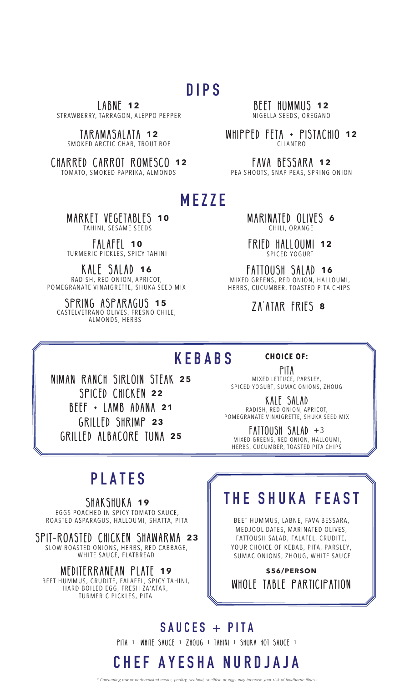### **DIPS**

LABNE **12** STRAWBERRY, TARRAGON, ALEPPO PEPPER

TARAMASALATA **12** SMOKED ARCTIC CHAR, TROUT ROE

CHARRED CARROT ROMESCO **12** TOMATO, SMOKED PAPRIKA, ALMONDS

BEET HUMMUS **12** NIGELLA SEEDS, OREGANO

WHIPPED FETA + PISTACHIO **12** CILANTRO

FAVA BESSARA **12** PEA SHOOTS, SNAP PEAS, SPRING ONION

#### **MEZZE**

MARKET VEGETABLES **10** TAHINI, SESAME SEEDS

FALAFEL **10** TURMERIC PICKLES, SPICY TAHINI

KALE SALAD **16** RADISH, RED ONION, APRICOT, POMEGRANATE VINAIGRETTE, SHUKA SEED MIX

SPRING ASPARAGUS **15** CASTELVETRANO OLIVES, FRESNO CHILE, ALMONDS, HERBS

MARINATED OLIVES **6** CHILI, ORANGE

FRIED HALLOUMI **12** SPICED YOGURT

FATTOUSH SALAD **16** MIXED GREENS, RED ONION, HALLOUMI, HERBS, CUCUMBER, TOASTED PITA CHIPS

ZA'ATAR FRIES **8**

#### **KEBABS**

**CHOICE OF:**

niman ranch sirloin steak **25** SPICED CHICKEN **22** beef + lamb adana **21** GRILLED SHRIMP **23** GRILLED albacore tuna **25**

Pita MIXED LETTUCE, PARSLEY, SPICED YOGURT, SUMAC ONIONS, ZHOUG

kale salad RADISH, RED ONION, APRICOT, POMEGRANATE VINAIGRETTE, SHUKA SEED MIX

FATTOUSH SALAD +3 MIXED GREENS, RED ONION, HALLOUMI, HERBS, CUCUMBER, TOASTED PITA CHIPS

### **PLATES**

SHAKSHUKA **19** EGGS POACHED IN SPICY TOMATO SAUCE, ROASTED ASPARAGUS, HALLOUMI, SHATTA, PITA

SPIT-ROASTED CHICKEN SHAWARMA **23** SLOW ROASTED ONIONS, HERBS, RED CABBAGE, WHITE SAUCE, FLATBREAD

#### MEDITERRANEAN PLATE **19**

BEET HUMMUS, CRUDITE, FALAFEL, SPICY TAHINI, HARD BOILED EGG, FRESH ZA'ATAR, TURMERIC PICKLES, PITA

## **THE SHUKA FEAST**

BEET HUMMUS, LABNE, FAVA BESSARA, MEDJOOL DATES, MARINATED OLIVES, FATTOUSH SALAD, FALAFEL, CRUDITE, YOUR CHOICE OF KEBAB, PITA, PARSLEY, SUMAC ONIONS, ZHOUG, WHITE SAUCE

**\$56/PERSON** WHOLE TABLE PARTICIPATION

**SAUCES + PITA** PITA 1 WHITE SAUCE 1 ZHOUG 1 TAHINI 1 SHUKA HOT SAUCE 1

## **CHEF AYESHA NURDJAJA**

ming raw or undercooked meats, poultry, seafood, shellfish or eggs may increase your risk of foodb